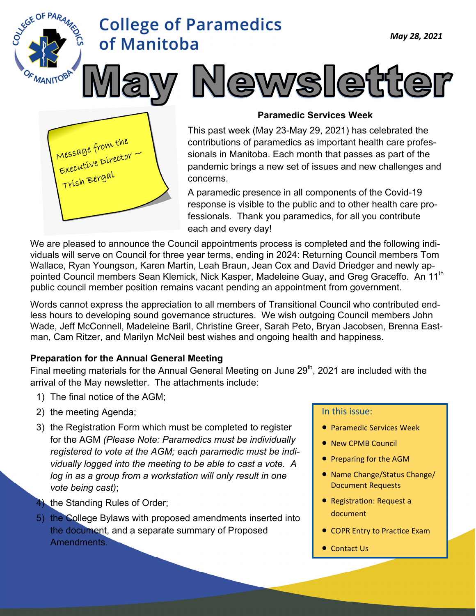



EGE OF PARA

#### **Paramedic Services Week**

<sup>,</sup> Newsletter

This past week (May 23-May 29, 2021) has celebrated the contributions of paramedics as important health care professionals in Manitoba. Each month that passes as part of the pandemic brings a new set of issues and new challenges and concerns.

A paramedic presence in all components of the Covid-19 response is visible to the public and to other health care professionals. Thank you paramedics, for all you contribute each and every day!

We are pleased to announce the Council appointments process is completed and the following individuals will serve on Council for three year terms, ending in 2024: Returning Council members Tom Wallace, Ryan Youngson, Karen Martin, Leah Braun, Jean Cox and David Driedger and newly appointed Council members Sean Klemick, Nick Kasper, Madeleine Guay, and Greg Graceffo. An 11<sup>th</sup> public council member position remains vacant pending an appointment from government.

Words cannot express the appreciation to all members of Transitional Council who contributed endless hours to developing sound governance structures. We wish outgoing Council members John Wade, Jeff McConnell, Madeleine Baril, Christine Greer, Sarah Peto, Bryan Jacobsen, Brenna Eastman, Cam Ritzer, and Marilyn McNeil best wishes and ongoing health and happiness.

#### **Preparation for the Annual General Meeting**

Final meeting materials for the Annual General Meeting on June 29<sup>th</sup>, 2021 are included with the arrival of the May newsletter. The attachments include:

- 1) The final notice of the AGM;
- 2) the meeting Agenda;
- 3) the Registration Form which must be completed to register for the AGM *(Please Note: Paramedics must be individually registered to vote at the AGM; each paramedic must be individually logged into the meeting to be able to cast a vote. A log in as a group from a workstation will only result in one vote being cast)*;
- 4) the Standing Rules of Order;
- 5) the College Bylaws with proposed amendments inserted into the document, and a separate summary of Proposed Amendments.

#### In this issue:

- **Paramedic Services Week**
- New CPMB Council
- Preparing for the AGM
- Name Change/Status Change/ Document Requests
- Registration: Request a document
- COPR Entry to Practice Exam
- Contact Us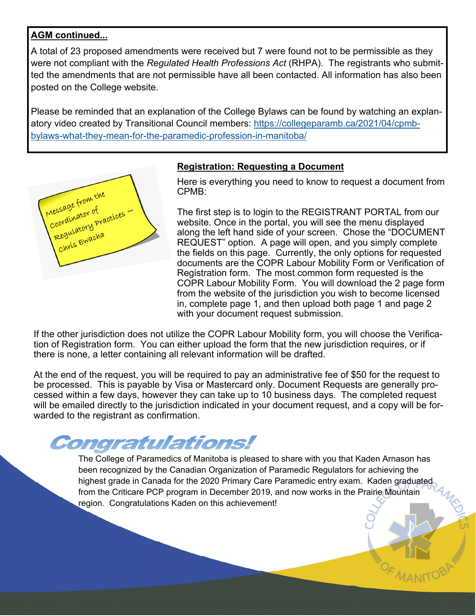#### **AGM continued...**

A total of 23 proposed amendments were received but 7 were found not to be permissible as they were not compliant with the *Regulated Health Professions Act* (RHPA). The registrants who submitted the amendments that are not permissible have all been contacted. All information has also been posted on the College website.

Please be reminded that an explanation of the College Bylaws can be found by watching an explanatory video created by Transitional Council members: https://collegeparamb.ca/2021/04/cpmbbylaws-what-they-mean-for-the-paramedic-profession-in-manitoba/



#### **Registration: Requesting a Document**

Here is everything you need to know to request a document from CPMB:

The first step is to login to the REGISTRANT PORTAL from our website. Once in the portal, you will see the menu displayed along the left hand side of your screen. Chose the "DOCUMENT REQUEST" option. A page will open, and you simply complete the fields on this page. Currently, the only options for requested documents are the COPR Labour Mobility Form or Verification of Registration form. The most common form requested is the COPR Labour Mobility Form. You will download the 2 page form from the website of the jurisdiction you wish to become licensed in, complete page 1, and then upload both page 1 and page 2 with your document request submission.

If the other jurisdiction does not utilize the COPR Labour Mobility form, you will choose the Verification of Registration form. You can either upload the form that the new jurisdiction requires, or if there is none, a letter containing all relevant information will be drafted.

At the end of the request, you will be required to pay an administrative fee of \$50 for the request to be processed. This is payable by Visa or Mastercard only. Document Requests are generally processed within a few days, however they can take up to 10 business days. The completed request will be emailed directly to the jurisdiction indicated in your document request, and a copy will be forwarded to the registrant as confirmation.

## Congratulations!

The College of Paramedics of Manitoba is pleased to share with you that Kaden Arnason has been recognized by the Canadian Organization of Paramedic Regulators for achieving the highest grade in Canada for the 2020 Primary Care Paramedic entry exam. Kaden graduated from the Criticare PCP program in December 2019, and now works in the Prairie Mountain region. Congratulations Kaden on this achievement!